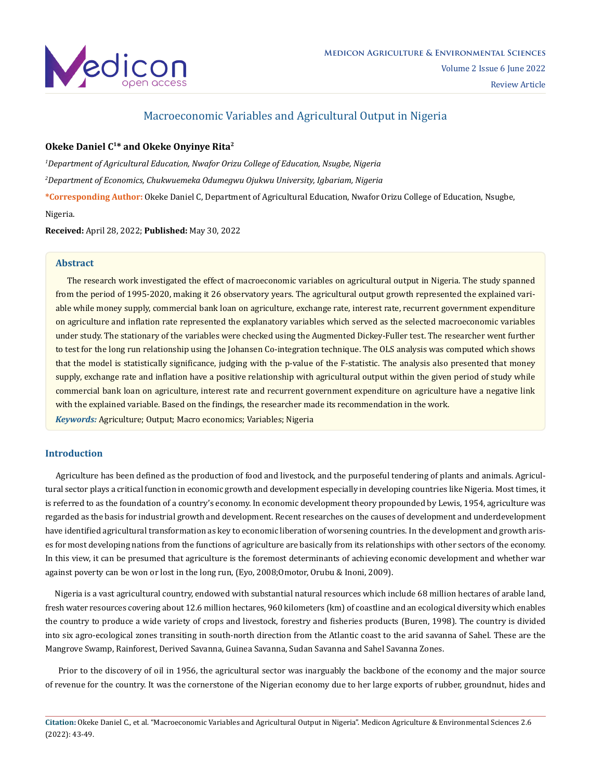

## Macroeconomic Variables and Agricultural Output in Nigeria

## **Okeke Daniel C1\* and Okeke Onyinye Rita2**

*1 Department of Agricultural Education, Nwafor Orizu College of Education, Nsugbe, Nigeria 2 Department of Economics, Chukwuemeka Odumegwu Ojukwu University, Igbariam, Nigeria* 

**\*Corresponding Author:** Okeke Daniel C, Department of Agricultural Education, Nwafor Orizu College of Education, Nsugbe,

#### Nigeria.

**Received:** April 28, 2022; **Published:** May 30, 2022

#### **Abstract**

 The research work investigated the effect of macroeconomic variables on agricultural output in Nigeria. The study spanned from the period of 1995-2020, making it 26 observatory years. The agricultural output growth represented the explained variable while money supply, commercial bank loan on agriculture, exchange rate, interest rate, recurrent government expenditure on agriculture and inflation rate represented the explanatory variables which served as the selected macroeconomic variables under study. The stationary of the variables were checked using the Augmented Dickey-Fuller test. The researcher went further to test for the long run relationship using the Johansen Co-integration technique. The OLS analysis was computed which shows that the model is statistically significance, judging with the p-value of the F-statistic. The analysis also presented that money supply, exchange rate and inflation have a positive relationship with agricultural output within the given period of study while commercial bank loan on agriculture, interest rate and recurrent government expenditure on agriculture have a negative link with the explained variable. Based on the findings, the researcher made its recommendation in the work.

*Keywords:* Agriculture; Output; Macro economics; Variables; Nigeria

## **Introduction**

 Agriculture has been defined as the production of food and livestock, and the purposeful tendering of plants and animals. Agricultural sector plays a critical function in economic growth and development especially in developing countries like Nigeria. Most times, it is referred to as the foundation of a country's economy. In economic development theory propounded by Lewis, 1954, agriculture was regarded as the basis for industrial growth and development. Recent researches on the causes of development and underdevelopment have identified agricultural transformation as key to economic liberation of worsening countries. In the development and growth arises for most developing nations from the functions of agriculture are basically from its relationships with other sectors of the economy. In this view, it can be presumed that agriculture is the foremost determinants of achieving economic development and whether war against poverty can be won or lost in the long run, (Eyo, 2008;Omotor, Orubu & Inoni, 2009).

 Nigeria is a vast agricultural country, endowed with substantial natural resources which include 68 million hectares of arable land, fresh water resources covering about 12.6 million hectares, 960 kilometers (km) of coastline and an ecological diversity which enables the country to produce a wide variety of crops and livestock, forestry and fisheries products (Buren, 1998). The country is divided into six agro-ecological zones transiting in south-north direction from the Atlantic coast to the arid savanna of Sahel. These are the Mangrove Swamp, Rainforest, Derived Savanna, Guinea Savanna, Sudan Savanna and Sahel Savanna Zones.

 Prior to the discovery of oil in 1956, the agricultural sector was inarguably the backbone of the economy and the major source of revenue for the country. It was the cornerstone of the Nigerian economy due to her large exports of rubber, groundnut, hides and

**Citation:** Okeke Daniel C., et al. "Macroeconomic Variables and Agricultural Output in Nigeria". Medicon Agriculture & Environmental Sciences 2.6 (2022): 43-49.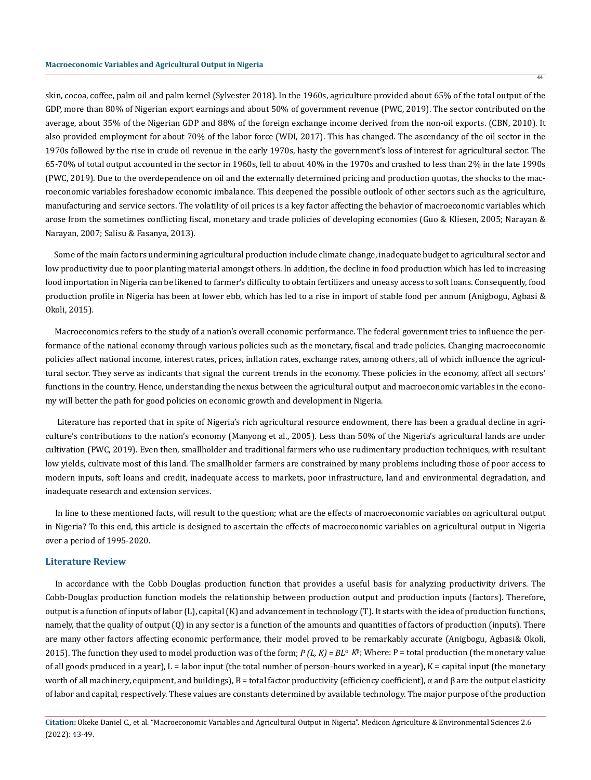skin, cocoa, coffee, palm oil and palm kernel (Sylvester 2018). In the 1960s, agriculture provided about 65% of the total output of the GDP, more than 80% of Nigerian export earnings and about 50% of government revenue (PWC, 2019). The sector contributed on the average, about 35% of the Nigerian GDP and 88% of the foreign exchange income derived from the non-oil exports. (CBN, 2010). It also provided employment for about 70% of the labor force (WDI, 2017). This has changed. The ascendancy of the oil sector in the 1970s followed by the rise in crude oil revenue in the early 1970s, hasty the government's loss of interest for agricultural sector. The 65-70% of total output accounted in the sector in 1960s, fell to about 40% in the 1970s and crashed to less than 2% in the late 1990s (PWC, 2019). Due to the overdependence on oil and the externally determined pricing and production quotas, the shocks to the macroeconomic variables foreshadow economic imbalance. This deepened the possible outlook of other sectors such as the agriculture, manufacturing and service sectors. The volatility of oil prices is a key factor affecting the behavior of macroeconomic variables which arose from the sometimes conflicting fiscal, monetary and trade policies of developing economies (Guo & Kliesen, 2005; Narayan & Narayan, 2007; Salisu & Fasanya, 2013).

 Some of the main factors undermining agricultural production include climate change, inadequate budget to agricultural sector and low productivity due to poor planting material amongst others. In addition, the decline in food production which has led to increasing food importation in Nigeria can be likened to farmer's difficulty to obtain fertilizers and uneasy access to soft loans. Consequently, food production profile in Nigeria has been at lower ebb, which has led to a rise in import of stable food per annum (Anigbogu, Agbasi & Okoli, 2015).

 Macroeconomics refers to the study of a nation's overall economic performance. The federal government tries to influence the performance of the national economy through various policies such as the monetary, fiscal and trade policies. Changing macroeconomic policies affect national income, interest rates, prices, inflation rates, exchange rates, among others, all of which influence the agricultural sector. They serve as indicants that signal the current trends in the economy. These policies in the economy, affect all sectors' functions in the country. Hence, understanding the nexus between the agricultural output and macroeconomic variables in the economy will better the path for good policies on economic growth and development in Nigeria.

 Literature has reported that in spite of Nigeria's rich agricultural resource endowment, there has been a gradual decline in agriculture's contributions to the nation's economy (Manyong et al., 2005). Less than 50% of the Nigeria's agricultural lands are under cultivation (PWC, 2019). Even then, smallholder and traditional farmers who use rudimentary production techniques, with resultant low yields, cultivate most of this land. The smallholder farmers are constrained by many problems including those of poor access to modern inputs, soft loans and credit, inadequate access to markets, poor infrastructure, land and environmental degradation, and inadequate research and extension services.

 In line to these mentioned facts, will result to the question; what are the effects of macroeconomic variables on agricultural output in Nigeria? To this end, this article is designed to ascertain the effects of macroeconomic variables on agricultural output in Nigeria over a period of 1995-2020.

#### **Literature Review**

 In accordance with the Cobb Douglas production function that provides a useful basis for analyzing productivity drivers. The Cobb-Douglas production function models the relationship between production output and production inputs (factors). Therefore, output is a function of inputs of labor (L), capital (K) and advancement in technology (T). It starts with the idea of production functions, namely, that the quality of output (Q) in any sector is a function of the amounts and quantities of factors of production (inputs). There are many other factors affecting economic performance, their model proved to be remarkably accurate (Anigbogu, Agbasi& Okoli, 2015). The function they used to model production was of the form; *P (L, K) = BL*α *K*<sup>β</sup> ; Where: P = total production (the monetary value of all goods produced in a year), L = labor input (the total number of person-hours worked in a year), K = capital input (the monetary worth of all machinery, equipment, and buildings),  $B =$  total factor productivity (efficiency coefficient), α and  $β$  are the output elasticity of labor and capital, respectively. These values are constants determined by available technology. The major purpose of the production

44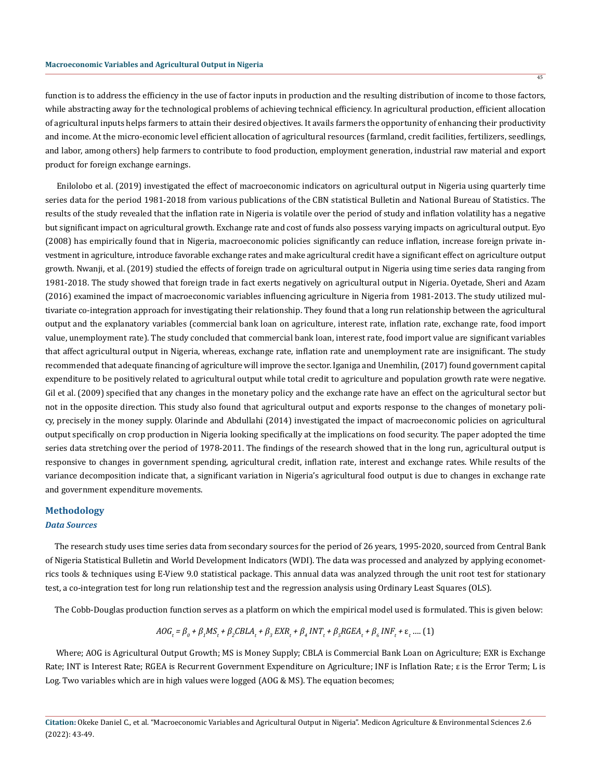45

function is to address the efficiency in the use of factor inputs in production and the resulting distribution of income to those factors, while abstracting away for the technological problems of achieving technical efficiency. In agricultural production, efficient allocation of agricultural inputs helps farmers to attain their desired objectives. It avails farmers the opportunity of enhancing their productivity and income. At the micro-economic level efficient allocation of agricultural resources (farmland, credit facilities, fertilizers, seedlings, and labor, among others) help farmers to contribute to food production, employment generation, industrial raw material and export product for foreign exchange earnings.

 Enilolobo et al. (2019) investigated the effect of macroeconomic indicators on agricultural output in Nigeria using quarterly time series data for the period 1981-2018 from various publications of the CBN statistical Bulletin and National Bureau of Statistics. The results of the study revealed that the inflation rate in Nigeria is volatile over the period of study and inflation volatility has a negative but significant impact on agricultural growth. Exchange rate and cost of funds also possess varying impacts on agricultural output. Eyo (2008) has empirically found that in Nigeria, macroeconomic policies significantly can reduce inflation, increase foreign private investment in agriculture, introduce favorable exchange rates and make agricultural credit have a significant effect on agriculture output growth. Nwanji, et al. (2019) studied the effects of foreign trade on agricultural output in Nigeria using time series data ranging from 1981-2018. The study showed that foreign trade in fact exerts negatively on agricultural output in Nigeria. Oyetade, Sheri and Azam (2016) examined the impact of macroeconomic variables influencing agriculture in Nigeria from 1981-2013. The study utilized multivariate co-integration approach for investigating their relationship. They found that a long run relationship between the agricultural output and the explanatory variables (commercial bank loan on agriculture, interest rate, inflation rate, exchange rate, food import value, unemployment rate). The study concluded that commercial bank loan, interest rate, food import value are significant variables that affect agricultural output in Nigeria, whereas, exchange rate, inflation rate and unemployment rate are insignificant. The study recommended that adequate financing of agriculture will improve the sector. Iganiga and Unemhilin, (2017) found government capital expenditure to be positively related to agricultural output while total credit to agriculture and population growth rate were negative. Gil et al. (2009) specified that any changes in the monetary policy and the exchange rate have an effect on the agricultural sector but not in the opposite direction. This study also found that agricultural output and exports response to the changes of monetary policy, precisely in the money supply. Olarinde and Abdullahi (2014) investigated the impact of macroeconomic policies on agricultural output specifically on crop production in Nigeria looking specifically at the implications on food security. The paper adopted the time series data stretching over the period of 1978-2011. The findings of the research showed that in the long run, agricultural output is responsive to changes in government spending, agricultural credit, inflation rate, interest and exchange rates. While results of the variance decomposition indicate that, a significant variation in Nigeria's agricultural food output is due to changes in exchange rate and government expenditure movements.

#### **Methodology**

#### *Data Sources*

 The research study uses time series data from secondary sources for the period of 26 years, 1995-2020, sourced from Central Bank of Nigeria Statistical Bulletin and World Development Indicators (WDI). The data was processed and analyzed by applying econometrics tools & techniques using E-View 9.0 statistical package. This annual data was analyzed through the unit root test for stationary test, a co-integration test for long run relationship test and the regression analysis using Ordinary Least Squares (OLS).

The Cobb-Douglas production function serves as a platform on which the empirical model used is formulated. This is given below:

$$
AOG_t = \beta_0 + \beta_1 MS_t + \beta_2 CBLA_t + \beta_3 EXR_t + \beta_4 INT_t + \beta_5 RGEA_t + \beta_6 INF_t + \varepsilon_t \dots (1)
$$

 Where; AOG is Agricultural Output Growth; MS is Money Supply; CBLA is Commercial Bank Loan on Agriculture; EXR is Exchange Rate; INT is Interest Rate; RGEA is Recurrent Government Expenditure on Agriculture; INF is Inflation Rate; ε is the Error Term; L is Log. Two variables which are in high values were logged (AOG & MS). The equation becomes;

**Citation:** Okeke Daniel C., et al. "Macroeconomic Variables and Agricultural Output in Nigeria". Medicon Agriculture & Environmental Sciences 2.6 (2022): 43-49.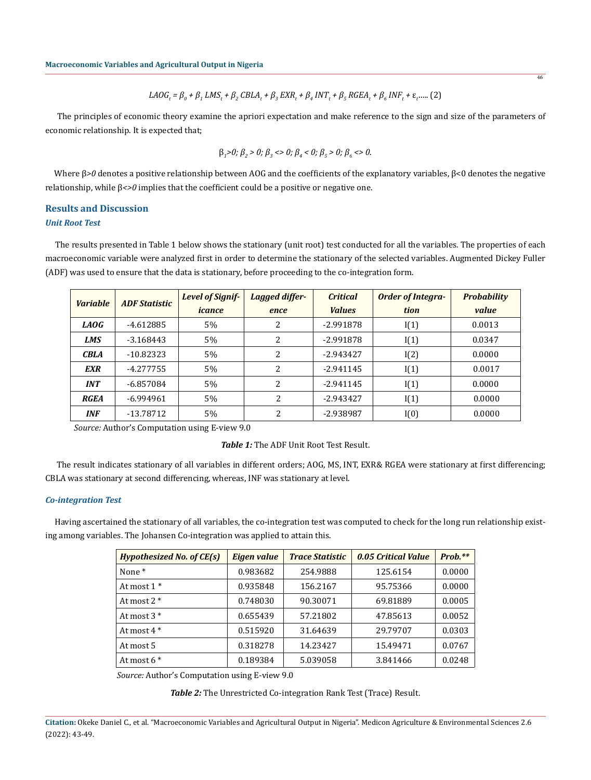$$
LAOG_t = \beta_0 + \beta_1 LMS_t + \beta_2 CBLA_t + \beta_3 EXR_t + \beta_4 INT_t + \beta_5 RGEA_t + \beta_6 INF_t + \varepsilon_t \dots (2)
$$

46

 The principles of economic theory examine the apriori expectation and make reference to the sign and size of the parameters of economic relationship. It is expected that;

$$
\beta_1 > 0; \beta_2 > 0; \beta_3 < 0; \beta_4 < 0; \beta_5 > 0; \beta_6 < 0.
$$

Where β>0 denotes a positive relationship between AOG and the coefficients of the explanatory variables, β<0 denotes the negative relationship, while β*<>0* implies that the coefficient could be a positive or negative one.

## **Results and Discussion** *Unit Root Test*

 The results presented in Table 1 below shows the stationary (unit root) test conducted for all the variables. The properties of each macroeconomic variable were analyzed first in order to determine the stationary of the selected variables. Augmented Dickey Fuller (ADF) was used to ensure that the data is stationary, before proceeding to the co-integration form.

| <b>Variable</b> | <b>ADF Statistic</b> | <b>Level of Signif-</b><br>icance | Lagged differ-<br>ence | <b>Critical</b><br><b>Values</b> | <b>Order of Integra-</b><br>tion | <b>Probability</b><br>value |
|-----------------|----------------------|-----------------------------------|------------------------|----------------------------------|----------------------------------|-----------------------------|
| LAOG            | $-4.612885$          | 5%                                | 2                      | $-2.991878$                      | I(1)                             | 0.0013                      |
| <b>LMS</b>      | $-3.168443$          | 5%                                | 2                      | $-2.991878$                      | I(1)                             | 0.0347                      |
| <b>CBLA</b>     | $-10.82323$          | 5%                                | 2                      | $-2.943427$                      | I(2)                             | 0.0000                      |
| EXR             | $-4.277755$          | 5%                                | 2                      | $-2.941145$                      | I(1)                             | 0.0017                      |
| <b>INT</b>      | $-6.857084$          | 5%                                | 2                      | $-2.941145$                      | I(1)                             | 0.0000                      |
| RGEA            | $-6.994961$          | 5%                                | 2                      | $-2.943427$                      | I(1)                             | 0.0000                      |
| <b>INF</b>      | -13.78712            | 5%                                | $\overline{2}$         | -2.938987                        | I(0)                             | 0.0000                      |

*Source:* Author's Computation using E-view 9.0

*Table 1:* The ADF Unit Root Test Result.

 The result indicates stationary of all variables in different orders; AOG, MS, INT, EXR& RGEA were stationary at first differencing; CBLA was stationary at second differencing, whereas, INF was stationary at level.

#### *Co-integration Test*

 Having ascertained the stationary of all variables, the co-integration test was computed to check for the long run relationship existing among variables. The Johansen Co-integration was applied to attain this.

| <b>Hypothesized No. of CE(s)</b> | Eigen value | <b>Trace Statistic</b> | 0.05 Critical Value | $Prob.**$ |
|----------------------------------|-------------|------------------------|---------------------|-----------|
| None <sup>*</sup>                | 0.983682    | 254.9888               | 125.6154            | 0.0000    |
| At most $1*$                     | 0.935848    | 156.2167               | 95.75366            | 0.0000    |
| At most $2 *$                    | 0.748030    | 90.30071               | 69.81889            | 0.0005    |
| At most $3*$                     | 0.655439    | 57.21802               | 47.85613            | 0.0052    |
| At most $4*$                     | 0.515920    | 31.64639               | 29.79707            | 0.0303    |
| At most 5                        | 0.318278    | 14.23427               | 15.49471            | 0.0767    |
| At most $6*$                     | 0.189384    | 5.039058               | 3.841466            | 0.0248    |

*Source:* Author's Computation using E-view 9.0

*Table 2:* The Unrestricted Co-integration Rank Test (Trace) Result.

**Citation:** Okeke Daniel C., et al. "Macroeconomic Variables and Agricultural Output in Nigeria". Medicon Agriculture & Environmental Sciences 2.6 (2022): 43-49.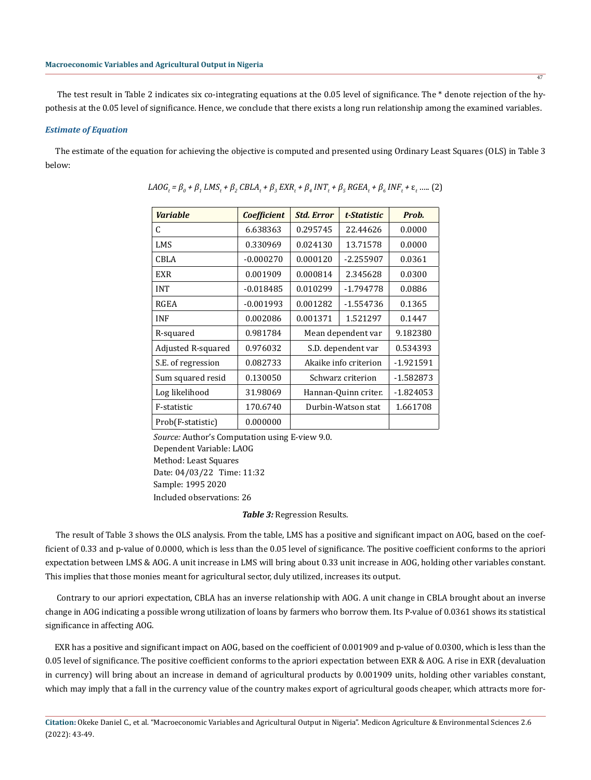The test result in Table 2 indicates six co-integrating equations at the 0.05 level of significance. The \* denote rejection of the hypothesis at the 0.05 level of significance. Hence, we conclude that there exists a long run relationship among the examined variables.

#### *Estimate of Equation*

 The estimate of the equation for achieving the objective is computed and presented using Ordinary Least Squares (OLS) in Table 3 below:

| <b>Variable</b>    | <b>Coefficient</b> | <b>Std. Error</b>     | t-Statistic | Prob.       |
|--------------------|--------------------|-----------------------|-------------|-------------|
| C                  | 6.638363           | 0.295745              | 22.44626    | 0.0000      |
| LMS                | 0.330969           | 0.024130              | 13.71578    | 0.0000      |
| CBLA               | $-0.000270$        | 0.000120              | $-2.255907$ | 0.0361      |
| EXR                | 0.001909           | 0.000814              | 2.345628    | 0.0300      |
| <b>INT</b>         | $-0.018485$        | 0.010299              | $-1.794778$ | 0.0886      |
| RGEA               | $-0.001993$        | 0.001282              | $-1.554736$ | 0.1365      |
| <b>INF</b>         | 0.002086           | 0.001371              | 1.521297    | 0.1447      |
| R-squared          | 0.981784           | Mean dependent var    |             | 9.182380    |
| Adjusted R-squared | 0.976032           | S.D. dependent var    |             | 0.534393    |
| S.E. of regression | 0.082733           | Akaike info criterion |             | $-1.921591$ |
| Sum squared resid  | 0.130050           | Schwarz criterion     |             | -1.582873   |
| Log likelihood     | 31.98069           | Hannan-Quinn criter.  |             | $-1.824053$ |
| F-statistic        | 170.6740           | Durbin-Watson stat    |             | 1.661708    |
| Prob(F-statistic)  | 0.000000           |                       |             |             |

$$
LAOG_t = \beta_0 + \beta_1 LMS_t + \beta_2 CBLA_t + \beta_3 EXR_t + \beta_4 INT_t + \beta_5 RGEA_t + \beta_6 INF_t + \varepsilon_t \dots (2)
$$

*Source:* Author's Computation using E-view 9.0. Dependent Variable: LAOG Method: Least Squares Date: 04/03/22 Time: 11:32 Sample: 1995 2020 Included observations: 26

*Table 3:* Regression Results.

 The result of Table 3 shows the OLS analysis. From the table, LMS has a positive and significant impact on AOG, based on the coefficient of 0.33 and p-value of 0.0000, which is less than the 0.05 level of significance. The positive coefficient conforms to the apriori expectation between LMS & AOG. A unit increase in LMS will bring about 0.33 unit increase in AOG, holding other variables constant. This implies that those monies meant for agricultural sector, duly utilized, increases its output.

 Contrary to our apriori expectation, CBLA has an inverse relationship with AOG. A unit change in CBLA brought about an inverse change in AOG indicating a possible wrong utilization of loans by farmers who borrow them. Its P-value of 0.0361 shows its statistical significance in affecting AOG.

 EXR has a positive and significant impact on AOG, based on the coefficient of 0.001909 and p-value of 0.0300, which is less than the 0.05 level of significance. The positive coefficient conforms to the apriori expectation between EXR & AOG. A rise in EXR (devaluation in currency) will bring about an increase in demand of agricultural products by 0.001909 units, holding other variables constant, which may imply that a fall in the currency value of the country makes export of agricultural goods cheaper, which attracts more for-

**Citation:** Okeke Daniel C., et al. "Macroeconomic Variables and Agricultural Output in Nigeria". Medicon Agriculture & Environmental Sciences 2.6 (2022): 43-49.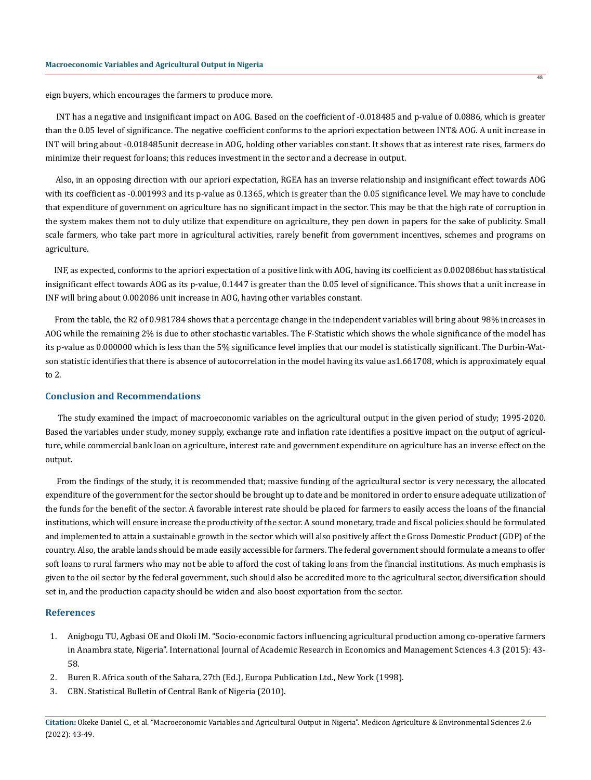eign buyers, which encourages the farmers to produce more.

 INT has a negative and insignificant impact on AOG. Based on the coefficient of -0.018485 and p-value of 0.0886, which is greater than the 0.05 level of significance. The negative coefficient conforms to the apriori expectation between INT& AOG. A unit increase in INT will bring about -0.018485unit decrease in AOG, holding other variables constant. It shows that as interest rate rises, farmers do minimize their request for loans; this reduces investment in the sector and a decrease in output.

 Also, in an opposing direction with our apriori expectation, RGEA has an inverse relationship and insignificant effect towards AOG with its coefficient as -0.001993 and its p-value as 0.1365, which is greater than the 0.05 significance level. We may have to conclude that expenditure of government on agriculture has no significant impact in the sector. This may be that the high rate of corruption in the system makes them not to duly utilize that expenditure on agriculture, they pen down in papers for the sake of publicity. Small scale farmers, who take part more in agricultural activities, rarely benefit from government incentives, schemes and programs on agriculture.

 INF, as expected, conforms to the apriori expectation of a positive link with AOG, having its coefficient as 0.002086but has statistical insignificant effect towards AOG as its p-value, 0.1447 is greater than the 0.05 level of significance. This shows that a unit increase in INF will bring about 0.002086 unit increase in AOG, having other variables constant.

 From the table, the R2 of 0.981784 shows that a percentage change in the independent variables will bring about 98% increases in AOG while the remaining 2% is due to other stochastic variables. The F-Statistic which shows the whole significance of the model has its p-value as 0.000000 which is less than the 5% significance level implies that our model is statistically significant. The Durbin-Watson statistic identifies that there is absence of autocorrelation in the model having its value as1.661708, which is approximately equal to 2.

#### **Conclusion and Recommendations**

 The study examined the impact of macroeconomic variables on the agricultural output in the given period of study; 1995-2020. Based the variables under study, money supply, exchange rate and inflation rate identifies a positive impact on the output of agriculture, while commercial bank loan on agriculture, interest rate and government expenditure on agriculture has an inverse effect on the output.

 From the findings of the study, it is recommended that; massive funding of the agricultural sector is very necessary, the allocated expenditure of the government for the sector should be brought up to date and be monitored in order to ensure adequate utilization of the funds for the benefit of the sector. A favorable interest rate should be placed for farmers to easily access the loans of the financial institutions, which will ensure increase the productivity of the sector. A sound monetary, trade and fiscal policies should be formulated and implemented to attain a sustainable growth in the sector which will also positively affect the Gross Domestic Product (GDP) of the country. Also, the arable lands should be made easily accessible for farmers. The federal government should formulate a means to offer soft loans to rural farmers who may not be able to afford the cost of taking loans from the financial institutions. As much emphasis is given to the oil sector by the federal government, such should also be accredited more to the agricultural sector, diversification should set in, and the production capacity should be widen and also boost exportation from the sector.

#### **References**

- 1. Anigbogu TU, Agbasi OE and Okoli IM. "Socio-economic factors influencing agricultural production among co-operative farmers in Anambra state, Nigeria". International Journal of Academic Research in Economics and Management Sciences 4.3 (2015): 43- 58.
- 2. Buren R. Africa south of the Sahara, 27th (Ed.), Europa Publication Ltd., New York (1998).
- 3. CBN. Statistical Bulletin of Central Bank of Nigeria (2010).

**Citation:** Okeke Daniel C., et al. "Macroeconomic Variables and Agricultural Output in Nigeria". Medicon Agriculture & Environmental Sciences 2.6 (2022): 43-49.

48